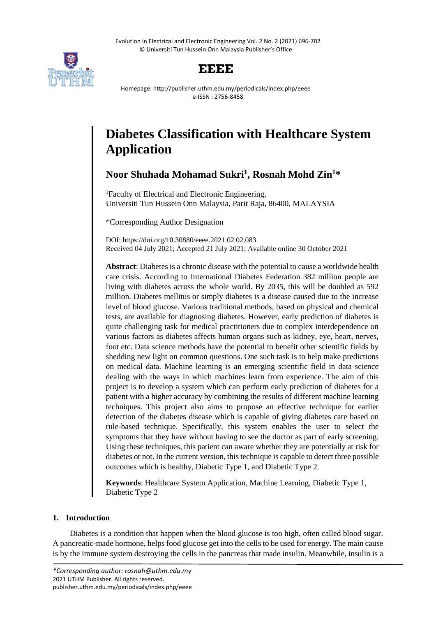Evolution in Electrical and Electronic Engineering Vol. 2 No. 2 (2021) 696-702 © Universiti Tun Hussein Onn Malaysia Publisher's Office



# **EEEE**

Homepage: http://publisher.uthm.edu.my/periodicals/index.php/eeee e-ISSN : 2756-8458

# **Diabetes Classification with Healthcare System Application**

**Noor Shuhada Mohamad Sukri<sup>1</sup> , Rosnah Mohd Zin<sup>1</sup>\***

<sup>1</sup>Faculty of Electrical and Electronic Engineering, Universiti Tun Hussein Onn Malaysia, Parit Raja, 86400, MALAYSIA

\*Corresponding Author Designation

DOI: https://doi.org/10.30880/eeee.2021.02.02.083 Received 04 July 2021; Accepted 21 July 2021; Available online 30 October 2021

**Abstract**: Diabetes is a chronic disease with the potential to cause a worldwide health care crisis. According to International Diabetes Federation 382 million people are living with diabetes across the whole world. By 2035, this will be doubled as 592 million. Diabetes mellitus or simply diabetes is a disease caused due to the increase level of blood glucose. Various traditional methods, based on physical and chemical tests, are available for diagnosing diabetes. However, early prediction of diabetes is quite challenging task for medical practitioners due to complex interdependence on various factors as diabetes affects human organs such as kidney, eye, heart, nerves, foot etc. Data science methods have the potential to benefit other scientific fields by shedding new light on common questions. One such task is to help make predictions on medical data. Machine learning is an emerging scientific field in data science dealing with the ways in which machines learn from experience. The aim of this project is to develop a system which can perform early prediction of diabetes for a patient with a higher accuracy by combining the results of different machine learning techniques. This project also aims to propose an effective technique for earlier detection of the diabetes disease which is capable of giving diabetes care based on rule-based technique. Specifically, this system enables the user to select the symptoms that they have without having to see the doctor as part of early screening. Using these techniques, this patient can aware whether they are potentially at risk for diabetes or not. In the current version, this technique is capable to detect three possible outcomes which is healthy, Diabetic Type 1, and Diabetic Type 2.

**Keywords**: Healthcare System Application, Machine Learning, Diabetic Type 1, Diabetic Type 2

## **1. Introduction**

Diabetes is a condition that happen when the blood glucose is too high, often called blood sugar. A pancreatic-made hormone, helps food glucose get into the cells to be used for energy. The main cause is by the immune system destroying the cells in the pancreas that made insulin. Meanwhile, insulin is a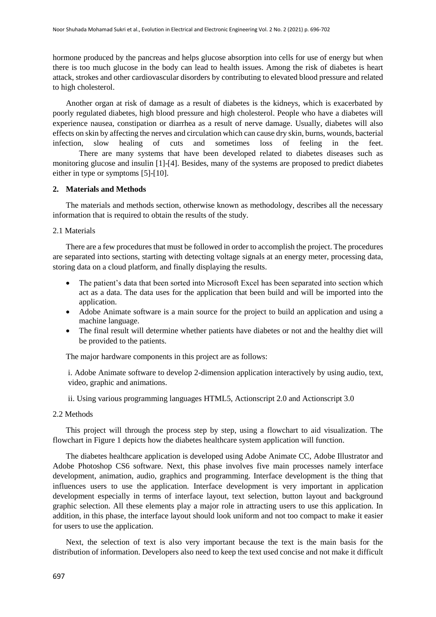hormone produced by the pancreas and helps glucose absorption into cells for use of energy but when there is too much glucose in the body can lead to health issues. Among the risk of diabetes is heart attack, strokes and other cardiovascular disorders by contributing to elevated blood pressure and related to high cholesterol.

Another organ at risk of damage as a result of diabetes is the kidneys, which is exacerbated by poorly regulated diabetes, high blood pressure and high cholesterol. People who have a diabetes will experience nausea, constipation or diarrhea as a result of nerve damage. Usually, diabetes will also effects on skin by affecting the nerves and circulation which can cause dry skin, burns, wounds, bacterial infection, slow healing of cuts and sometimes loss of feeling in the feet. There are many systems that have been developed related to diabetes diseases such as monitoring glucose and insulin [1]-[4]. Besides, many of the systems are proposed to predict diabetes either in type or symptoms [5]-[10].

#### **2. Materials and Methods**

The materials and methods section, otherwise known as methodology, describes all the necessary information that is required to obtain the results of the study.

2.1 Materials

There are a few procedures that must be followed in order to accomplish the project. The procedures are separated into sections, starting with detecting voltage signals at an energy meter, processing data, storing data on a cloud platform, and finally displaying the results.

- The patient's data that been sorted into Microsoft Excel has been separated into section which act as a data. The data uses for the application that been build and will be imported into the application.
- Adobe Animate software is a main source for the project to build an application and using a machine language.
- The final result will determine whether patients have diabetes or not and the healthy diet will be provided to the patients.

The major hardware components in this project are as follows:

i. Adobe Animate software to develop 2-dimension application interactively by using audio, text, video, graphic and animations.

ii. Using various programming languages HTML5, Actionscript 2.0 and Actionscript 3.0

#### 2.2 Methods

This project will through the process step by step, using a flowchart to aid visualization. The flowchart in Figure 1 depicts how the diabetes healthcare system application will function.

The diabetes healthcare application is developed using Adobe Animate CC, Adobe Illustrator and Adobe Photoshop CS6 software. Next, this phase involves five main processes namely interface development, animation, audio, graphics and programming. Interface development is the thing that influences users to use the application. Interface development is very important in application development especially in terms of interface layout, text selection, button layout and background graphic selection. All these elements play a major role in attracting users to use this application. In addition, in this phase, the interface layout should look uniform and not too compact to make it easier for users to use the application.

Next, the selection of text is also very important because the text is the main basis for the distribution of information. Developers also need to keep the text used concise and not make it difficult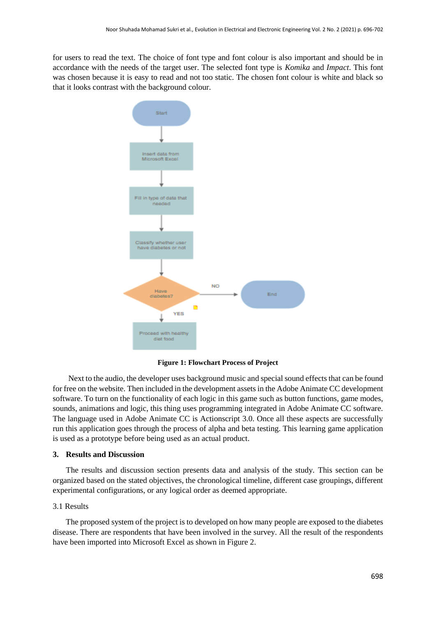for users to read the text. The choice of font type and font colour is also important and should be in accordance with the needs of the target user. The selected font type is *Komika* and *Impact*. This font was chosen because it is easy to read and not too static. The chosen font colour is white and black so that it looks contrast with the background colour.



**Figure 1: Flowchart Process of Project**

Next to the audio, the developer uses background music and special sound effects that can be found for free on the website. Then included in the development assets in the Adobe Animate CC development software. To turn on the functionality of each logic in this game such as button functions, game modes, sounds, animations and logic, this thing uses programming integrated in Adobe Animate CC software. The language used in Adobe Animate CC is Actionscript 3.0. Once all these aspects are successfully run this application goes through the process of alpha and beta testing. This learning game application is used as a prototype before being used as an actual product.

#### **3. Results and Discussion**

The results and discussion section presents data and analysis of the study. This section can be organized based on the stated objectives, the chronological timeline, different case groupings, different experimental configurations, or any logical order as deemed appropriate.

#### 3.1 Results

The proposed system of the project is to developed on how many people are exposed to the diabetes disease. There are respondents that have been involved in the survey. All the result of the respondents have been imported into Microsoft Excel as shown in Figure 2.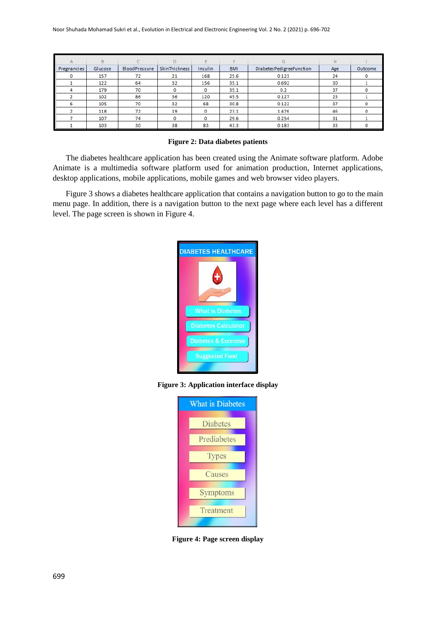| A           | B       | C.            | D             |         | Е          | G                         | H   |         |
|-------------|---------|---------------|---------------|---------|------------|---------------------------|-----|---------|
| Pregnancies | Glucose | BloodPressure | SkinThickness | Insulin | <b>BMI</b> | Diabetes PedigreeFunction | Age | Outcome |
|             | 157     | 72            | 21            | 168     | 25.6       | 0.123                     | 24  |         |
|             | 122     | 64            | 32            | 156     | 35.1       | 0.692                     | 30  |         |
|             | 179     | 70            |               | о       | 35.1       | 0.2                       | 37  |         |
|             | 102     | 86            | 36            | 120     | 45.5       | 0.127                     | 23  |         |
| 6           | 105     | 70            | 32            | 68      | 30.8       | 0.122                     | 37  |         |
|             | 118     | 72            | 19            | o       | 23.1       | 1.476                     | 46  | o       |
|             | 107     | 74            |               | ٥       | 29.6       | 0.254                     | 31  |         |
|             | 103     | 30            | 38            | 83      | 43.3       | 0.183                     | 33  |         |

**Figure 2: Data diabetes patients**

The diabetes healthcare application has been created using the Animate software platform. Adobe Animate is a multimedia software platform used for animation production, Internet applications, desktop applications, mobile applications, mobile games and web browser video players.

Figure 3 shows a diabetes healthcare application that contains a navigation button to go to the main menu page. In addition, there is a navigation button to the next page where each level has a different level. The page screen is shown in Figure 4.



**Figure 3: Application interface display**



**Figure 4: Page screen display**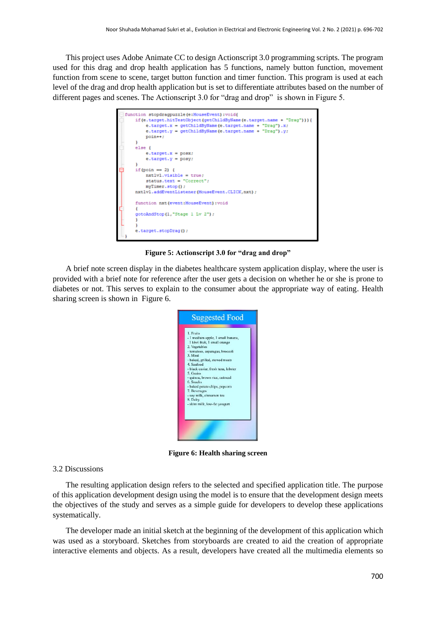This project uses Adobe Animate CC to design Actionscript 3.0 programming scripts. The program used for this drag and drop health application has 5 functions, namely button function, movement function from scene to scene, target button function and timer function. This program is used at each level of the drag and drop health application but is set to differentiate attributes based on the number of different pages and scenes. The Actionscript 3.0 for "drag and drop" is shown in Figure 5.

| function stopdragpuzzle(e:MouseEvent):void{                                                                                                                                                              |  |  |  |  |
|----------------------------------------------------------------------------------------------------------------------------------------------------------------------------------------------------------|--|--|--|--|
| if(e.target.hitTestObject(getChildByName(e.target.name + "Drag"))) {<br>$e.target.x = getChildByName(e.target.name + "Draw", x)$<br>e.target.y = getChildByName(e.target.name + "Drag").y;<br>$point++;$ |  |  |  |  |
|                                                                                                                                                                                                          |  |  |  |  |
| else {                                                                                                                                                                                                   |  |  |  |  |
| $e$ .target.x = $posx$ ;                                                                                                                                                                                 |  |  |  |  |
| $e.target.y = posy;$                                                                                                                                                                                     |  |  |  |  |
|                                                                                                                                                                                                          |  |  |  |  |
| if (poin == 2) $\ell$                                                                                                                                                                                    |  |  |  |  |
| $nxt1v1.visible = true;$                                                                                                                                                                                 |  |  |  |  |
| $status.text = "Correct";$                                                                                                                                                                               |  |  |  |  |
| myTimer.stop();                                                                                                                                                                                          |  |  |  |  |
| nxtlvl.addEventListener(MouseEvent.CLICK,nxt);                                                                                                                                                           |  |  |  |  |
| function nxt (event:MouseEvent) : void                                                                                                                                                                   |  |  |  |  |
|                                                                                                                                                                                                          |  |  |  |  |
| gotoAndStop(1,"Stage 1 Lv 2");                                                                                                                                                                           |  |  |  |  |
|                                                                                                                                                                                                          |  |  |  |  |
|                                                                                                                                                                                                          |  |  |  |  |
| e.target.stopDrag();                                                                                                                                                                                     |  |  |  |  |
|                                                                                                                                                                                                          |  |  |  |  |
|                                                                                                                                                                                                          |  |  |  |  |

**Figure 5: Actionscript 3.0 for "drag and drop"**

A brief note screen display in the diabetes healthcare system application display, where the user is provided with a brief note for reference after the user gets a decision on whether he or she is prone to diabetes or not. This serves to explain to the consumer about the appropriate way of eating. Health sharing screen is shown in Figure 6.



**Figure 6: Health sharing screen**

### 3.2 Discussions

The resulting application design refers to the selected and specified application title. The purpose of this application development design using the model is to ensure that the development design meets the objectives of the study and serves as a simple guide for developers to develop these applications systematically.

The developer made an initial sketch at the beginning of the development of this application which was used as a storyboard. Sketches from storyboards are created to aid the creation of appropriate interactive elements and objects. As a result, developers have created all the multimedia elements so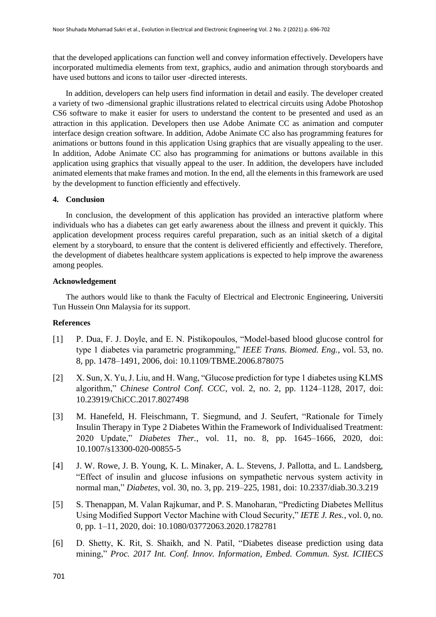that the developed applications can function well and convey information effectively. Developers have incorporated multimedia elements from text, graphics, audio and animation through storyboards and have used buttons and icons to tailor user -directed interests.

In addition, developers can help users find information in detail and easily. The developer created a variety of two -dimensional graphic illustrations related to electrical circuits using Adobe Photoshop CS6 software to make it easier for users to understand the content to be presented and used as an attraction in this application. Developers then use Adobe Animate CC as animation and computer interface design creation software. In addition, Adobe Animate CC also has programming features for animations or buttons found in this application Using graphics that are visually appealing to the user. In addition, Adobe Animate CC also has programming for animations or buttons available in this application using graphics that visually appeal to the user. In addition, the developers have included animated elements that make frames and motion. In the end, all the elements in this framework are used by the development to function efficiently and effectively.

#### **4. Conclusion**

In conclusion, the development of this application has provided an interactive platform where individuals who has a diabetes can get early awareness about the illness and prevent it quickly. This application development process requires careful preparation, such as an initial sketch of a digital element by a storyboard, to ensure that the content is delivered efficiently and effectively. Therefore, the development of diabetes healthcare system applications is expected to help improve the awareness among peoples.

#### **Acknowledgement**

The authors would like to thank the Faculty of Electrical and Electronic Engineering, Universiti Tun Hussein Onn Malaysia for its support.

#### **References**

- [1] P. Dua, F. J. Doyle, and E. N. Pistikopoulos, "Model-based blood glucose control for type 1 diabetes via parametric programming," *IEEE Trans. Biomed. Eng.*, vol. 53, no. 8, pp. 1478–1491, 2006, doi: 10.1109/TBME.2006.878075
- [2] X. Sun, X. Yu, J. Liu, and H. Wang, "Glucose prediction for type 1 diabetes using KLMS algorithm," *Chinese Control Conf. CCC*, vol. 2, no. 2, pp. 1124–1128, 2017, doi: 10.23919/ChiCC.2017.8027498
- [3] M. Hanefeld, H. Fleischmann, T. Siegmund, and J. Seufert, "Rationale for Timely Insulin Therapy in Type 2 Diabetes Within the Framework of Individualised Treatment: 2020 Update," *Diabetes Ther.*, vol. 11, no. 8, pp. 1645–1666, 2020, doi: 10.1007/s13300-020-00855-5
- [4] J. W. Rowe, J. B. Young, K. L. Minaker, A. L. Stevens, J. Pallotta, and L. Landsberg, "Effect of insulin and glucose infusions on sympathetic nervous system activity in normal man," *Diabetes*, vol. 30, no. 3, pp. 219–225, 1981, doi: 10.2337/diab.30.3.219
- [5] S. Thenappan, M. Valan Rajkumar, and P. S. Manoharan, "Predicting Diabetes Mellitus Using Modified Support Vector Machine with Cloud Security," *IETE J. Res.*, vol. 0, no. 0, pp. 1–11, 2020, doi: 10.1080/03772063.2020.1782781
- [6] D. Shetty, K. Rit, S. Shaikh, and N. Patil, "Diabetes disease prediction using data mining," *Proc. 2017 Int. Conf. Innov. Information, Embed. Commun. Syst. ICIIECS*